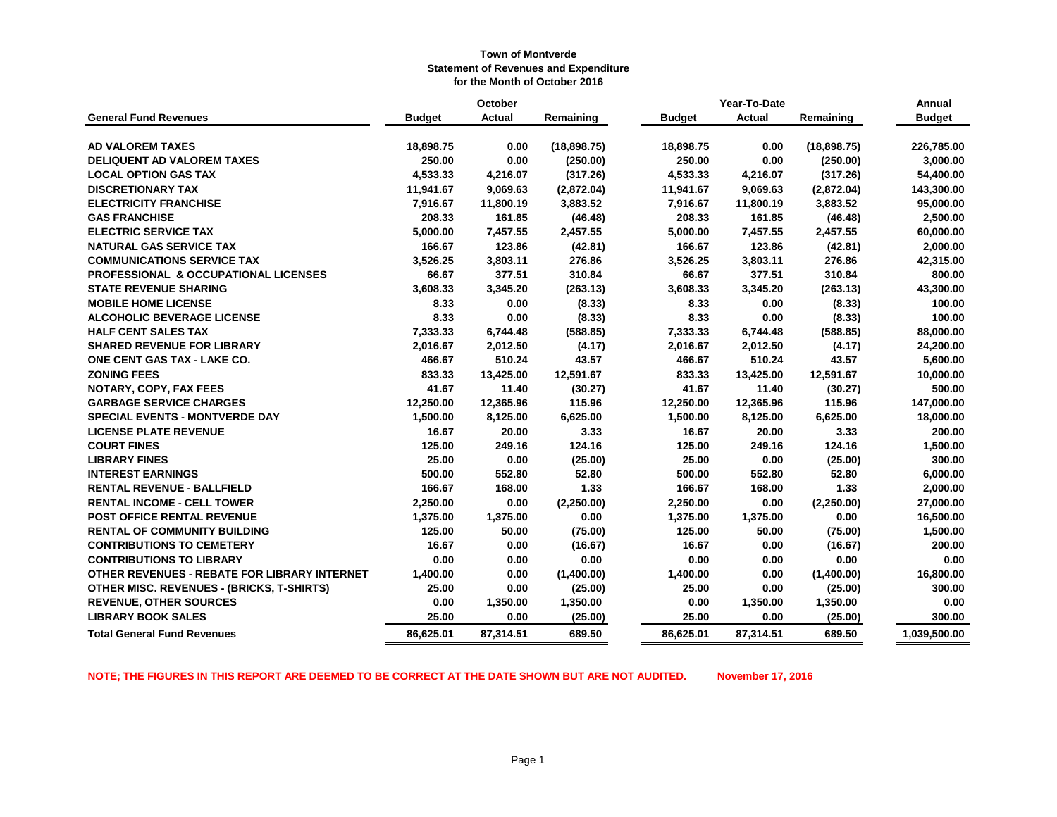|                                                  | October       |           |             |               | Year-To-Date  |              | Annual        |
|--------------------------------------------------|---------------|-----------|-------------|---------------|---------------|--------------|---------------|
| <b>General Fund Revenues</b>                     | <b>Budget</b> | Actual    | Remaining   | <b>Budget</b> | <b>Actual</b> | Remaining    | <b>Budget</b> |
|                                                  |               |           |             |               |               |              |               |
| <b>AD VALOREM TAXES</b>                          | 18,898.75     | 0.00      | (18,898.75) | 18,898.75     | 0.00          | (18, 898.75) | 226,785.00    |
| DELIQUENT AD VALOREM TAXES                       | 250.00        | 0.00      | (250.00)    | 250.00        | 0.00          | (250.00)     | 3,000.00      |
| <b>LOCAL OPTION GAS TAX</b>                      | 4,533.33      | 4,216.07  | (317.26)    | 4,533.33      | 4,216.07      | (317.26)     | 54,400.00     |
| <b>DISCRETIONARY TAX</b>                         | 11,941.67     | 9,069.63  | (2,872.04)  | 11,941.67     | 9,069.63      | (2,872.04)   | 143,300.00    |
| <b>ELECTRICITY FRANCHISE</b>                     | 7,916.67      | 11,800.19 | 3,883.52    | 7,916.67      | 11,800.19     | 3,883.52     | 95,000.00     |
| <b>GAS FRANCHISE</b>                             | 208.33        | 161.85    | (46.48)     | 208.33        | 161.85        | (46.48)      | 2,500.00      |
| <b>ELECTRIC SERVICE TAX</b>                      | 5,000.00      | 7,457.55  | 2,457.55    | 5,000.00      | 7,457.55      | 2,457.55     | 60,000.00     |
| <b>NATURAL GAS SERVICE TAX</b>                   | 166.67        | 123.86    | (42.81)     | 166.67        | 123.86        | (42.81)      | 2,000.00      |
| <b>COMMUNICATIONS SERVICE TAX</b>                | 3,526.25      | 3,803.11  | 276.86      | 3,526.25      | 3,803.11      | 276.86       | 42,315.00     |
| PROFESSIONAL & OCCUPATIONAL LICENSES             | 66.67         | 377.51    | 310.84      | 66.67         | 377.51        | 310.84       | 800.00        |
| <b>STATE REVENUE SHARING</b>                     | 3,608.33      | 3,345.20  | (263.13)    | 3,608.33      | 3,345.20      | (263.13)     | 43,300.00     |
| <b>MOBILE HOME LICENSE</b>                       | 8.33          | 0.00      | (8.33)      | 8.33          | 0.00          | (8.33)       | 100.00        |
| <b>ALCOHOLIC BEVERAGE LICENSE</b>                | 8.33          | 0.00      | (8.33)      | 8.33          | 0.00          | (8.33)       | 100.00        |
| <b>HALF CENT SALES TAX</b>                       | 7,333.33      | 6,744.48  | (588.85)    | 7,333.33      | 6,744.48      | (588.85)     | 88,000.00     |
| <b>SHARED REVENUE FOR LIBRARY</b>                | 2,016.67      | 2,012.50  | (4.17)      | 2,016.67      | 2,012.50      | (4.17)       | 24,200.00     |
| ONE CENT GAS TAX - LAKE CO.                      | 466.67        | 510.24    | 43.57       | 466.67        | 510.24        | 43.57        | 5,600.00      |
| <b>ZONING FEES</b>                               | 833.33        | 13,425.00 | 12,591.67   | 833.33        | 13,425.00     | 12,591.67    | 10,000.00     |
| NOTARY, COPY, FAX FEES                           | 41.67         | 11.40     | (30.27)     | 41.67         | 11.40         | (30.27)      | 500.00        |
| <b>GARBAGE SERVICE CHARGES</b>                   | 12,250.00     | 12,365.96 | 115.96      | 12,250.00     | 12,365.96     | 115.96       | 147,000.00    |
| <b>SPECIAL EVENTS - MONTVERDE DAY</b>            | 1,500.00      | 8,125.00  | 6,625.00    | 1,500.00      | 8,125.00      | 6,625.00     | 18,000.00     |
| <b>LICENSE PLATE REVENUE</b>                     | 16.67         | 20.00     | 3.33        | 16.67         | 20.00         | 3.33         | 200.00        |
| <b>COURT FINES</b>                               | 125.00        | 249.16    | 124.16      | 125.00        | 249.16        | 124.16       | 1,500.00      |
| <b>LIBRARY FINES</b>                             | 25.00         | 0.00      | (25.00)     | 25.00         | 0.00          | (25.00)      | 300.00        |
| <b>INTEREST EARNINGS</b>                         | 500.00        | 552.80    | 52.80       | 500.00        | 552.80        | 52.80        | 6,000.00      |
| <b>RENTAL REVENUE - BALLFIELD</b>                | 166.67        | 168.00    | 1.33        | 166.67        | 168.00        | 1.33         | 2,000.00      |
| <b>RENTAL INCOME - CELL TOWER</b>                | 2,250.00      | 0.00      | (2,250.00)  | 2,250.00      | 0.00          | (2,250.00)   | 27,000.00     |
| POST OFFICE RENTAL REVENUE                       | 1,375.00      | 1,375.00  | 0.00        | 1,375.00      | 1,375.00      | 0.00         | 16,500.00     |
| <b>RENTAL OF COMMUNITY BUILDING</b>              | 125.00        | 50.00     | (75.00)     | 125.00        | 50.00         | (75.00)      | 1,500.00      |
| <b>CONTRIBUTIONS TO CEMETERY</b>                 | 16.67         | 0.00      | (16.67)     | 16.67         | 0.00          | (16.67)      | 200.00        |
| <b>CONTRIBUTIONS TO LIBRARY</b>                  | 0.00          | 0.00      | 0.00        | 0.00          | 0.00          | 0.00         | 0.00          |
| OTHER REVENUES - REBATE FOR LIBRARY INTERNET     | 1,400.00      | 0.00      | (1,400.00)  | 1,400.00      | 0.00          | (1,400.00)   | 16,800.00     |
| <b>OTHER MISC. REVENUES - (BRICKS, T-SHIRTS)</b> | 25.00         | 0.00      | (25.00)     | 25.00         | 0.00          | (25.00)      | 300.00        |
| <b>REVENUE, OTHER SOURCES</b>                    | 0.00          | 1,350.00  | 1,350.00    | 0.00          | 1,350.00      | 1,350.00     | 0.00          |
| <b>LIBRARY BOOK SALES</b>                        | 25.00         | 0.00      | (25.00)     | 25.00         | 0.00          | (25.00)      | 300.00        |
| <b>Total General Fund Revenues</b>               | 86,625.01     | 87,314.51 | 689.50      | 86,625.01     | 87,314.51     | 689.50       | 1,039,500.00  |

**NOTE; THE FIGURES IN THIS REPORT ARE DEEMED TO BE CORRECT AT THE DATE SHOWN BUT ARE NOT AUDITED. November 17, 2016**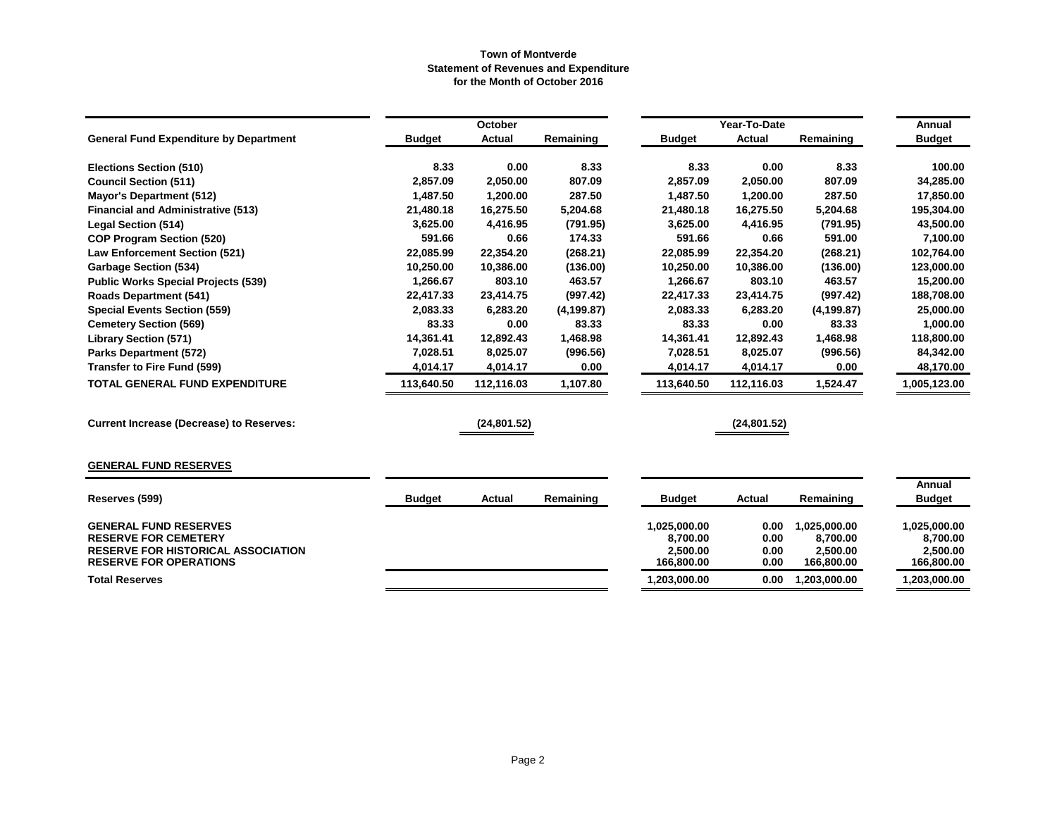|                                                                            |               | October       |             |                          | Year-To-Date  |                          | Annual                   |
|----------------------------------------------------------------------------|---------------|---------------|-------------|--------------------------|---------------|--------------------------|--------------------------|
| <b>General Fund Expenditure by Department</b>                              | <b>Budget</b> | <b>Actual</b> | Remaining   | <b>Budget</b>            | <b>Actual</b> | Remaining                | <b>Budget</b>            |
| <b>Elections Section (510)</b>                                             | 8.33          | 0.00          | 8.33        | 8.33                     | 0.00          | 8.33                     | 100.00                   |
| <b>Council Section (511)</b>                                               | 2,857.09      | 2,050.00      | 807.09      | 2,857.09                 | 2,050.00      | 807.09                   | 34,285.00                |
| <b>Mayor's Department (512)</b>                                            | 1,487.50      | 1,200.00      | 287.50      | 1,487.50                 | 1,200.00      | 287.50                   | 17,850.00                |
| <b>Financial and Administrative (513)</b>                                  | 21,480.18     | 16,275.50     | 5,204.68    | 21,480.18                | 16,275.50     | 5,204.68                 | 195,304.00               |
| <b>Legal Section (514)</b>                                                 | 3,625.00      | 4,416.95      | (791.95)    | 3,625.00                 | 4,416.95      | (791.95)                 | 43,500.00                |
| <b>COP Program Section (520)</b>                                           | 591.66        | 0.66          | 174.33      | 591.66                   | 0.66          | 591.00                   | 7,100.00                 |
| <b>Law Enforcement Section (521)</b>                                       | 22,085.99     | 22,354.20     | (268.21)    | 22,085.99                | 22,354.20     | (268.21)                 | 102,764.00               |
| <b>Garbage Section (534)</b>                                               | 10,250.00     | 10,386.00     | (136.00)    | 10,250.00                | 10,386.00     | (136.00)                 | 123,000.00               |
| <b>Public Works Special Projects (539)</b>                                 | 1,266.67      | 803.10        | 463.57      | 1,266.67                 | 803.10        | 463.57                   | 15,200.00                |
| <b>Roads Department (541)</b>                                              | 22,417.33     | 23,414.75     | (997.42)    | 22,417.33                | 23,414.75     | (997.42)                 | 188,708.00               |
| <b>Special Events Section (559)</b>                                        | 2,083.33      | 6,283.20      | (4, 199.87) | 2,083.33                 | 6,283.20      | (4, 199.87)              | 25,000.00                |
| <b>Cemetery Section (569)</b>                                              | 83.33         | 0.00          | 83.33       | 83.33                    | 0.00          | 83.33                    | 1,000.00                 |
| <b>Library Section (571)</b>                                               | 14,361.41     | 12,892.43     | 1,468.98    | 14,361.41                | 12,892.43     | 1,468.98                 | 118,800.00               |
| <b>Parks Department (572)</b>                                              | 7,028.51      | 8,025.07      | (996.56)    | 7,028.51                 | 8,025.07      | (996.56)                 | 84,342.00                |
| <b>Transfer to Fire Fund (599)</b>                                         | 4,014.17      | 4,014.17      | 0.00        | 4,014.17                 | 4,014.17      | 0.00                     | 48,170.00                |
| TOTAL GENERAL FUND EXPENDITURE                                             | 113,640.50    | 112,116.03    | 1,107.80    | 113,640.50               | 112,116.03    | 1,524.47                 | 1,005,123.00             |
| <b>Current Increase (Decrease) to Reserves:</b>                            |               | (24, 801.52)  |             |                          | (24, 801.52)  |                          |                          |
| <b>GENERAL FUND RESERVES</b>                                               |               |               |             |                          |               |                          |                          |
|                                                                            |               |               |             |                          |               |                          | Annual                   |
| Reserves (599)                                                             | <b>Budget</b> | <b>Actual</b> | Remaining   | <b>Budget</b>            | Actual        | Remaining                | <b>Budget</b>            |
| <b>GENERAL FUND RESERVES</b><br><b>RESERVE FOR CEMETERY</b>                |               |               |             | 1,025,000.00<br>8,700.00 | 0.00<br>0.00  | 1,025,000.00<br>8,700.00 | 1,025,000.00<br>8,700.00 |
| <b>RESERVE FOR HISTORICAL ASSOCIATION</b><br><b>RESERVE FOR OPERATIONS</b> |               |               |             | 2,500.00<br>166,800.00   | 0.00<br>0.00  | 2,500.00<br>166,800.00   | 2,500.00<br>166,800.00   |
| <b>Total Reserves</b>                                                      |               |               |             | 1,203,000.00             | 0.00          | 1,203,000.00             | 1,203,000.00             |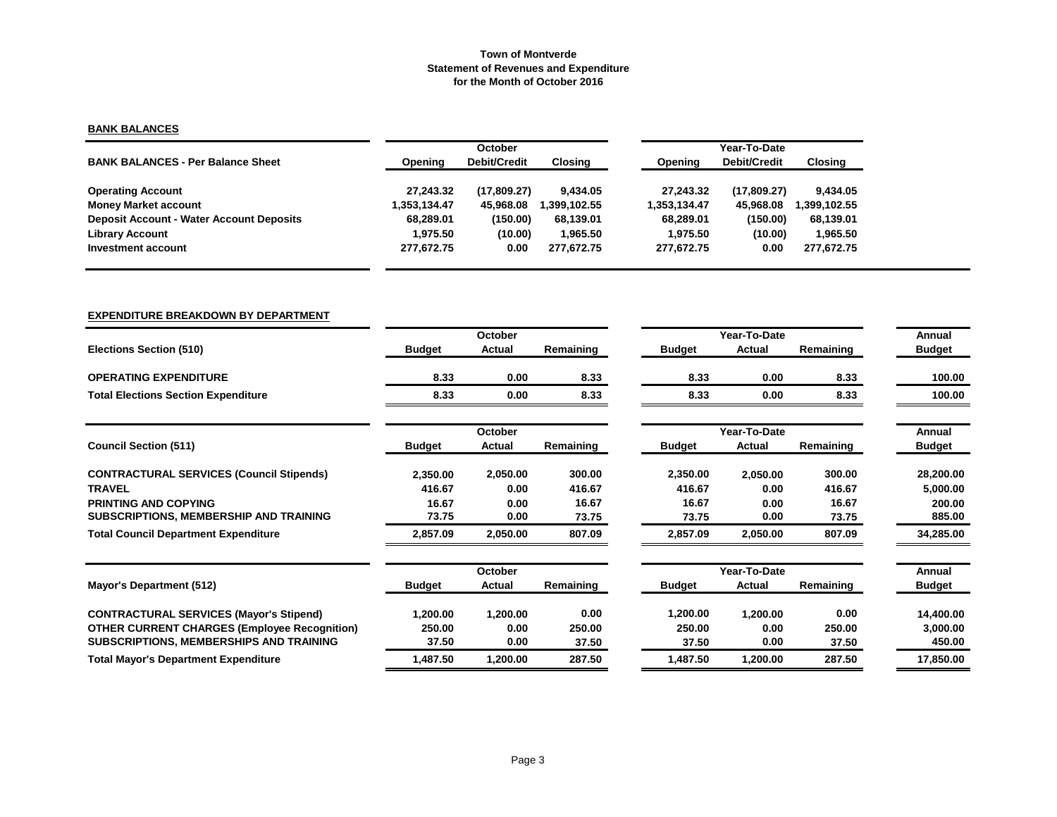# **BANK BALANCES**

|                                                 |              | <b>October</b>      |             | Year-To-Date |              |              |  |  |
|-------------------------------------------------|--------------|---------------------|-------------|--------------|--------------|--------------|--|--|
| <b>BANK BALANCES - Per Balance Sheet</b>        | Opening      | <b>Debit/Credit</b> | Closina     | Opening      | Debit/Credit | Closing      |  |  |
| <b>Operating Account</b>                        | 27.243.32    | (17,809.27)         | 9.434.05    | 27.243.32    | (17,809.27)  | 9,434.05     |  |  |
| <b>Money Market account</b>                     | 1.353.134.47 | 45.968.08           | .399.102.55 | 1,353,134.47 | 45.968.08    | 1,399,102.55 |  |  |
| <b>Deposit Account - Water Account Deposits</b> | 68.289.01    | (150.00)            | 68,139.01   | 68.289.01    | (150.00)     | 68,139.01    |  |  |
| <b>Library Account</b>                          | 1.975.50     | (10.00)             | 1.965.50    | 1.975.50     | (10.00)      | 1,965.50     |  |  |
| Investment account                              | 277,672.75   | 0.00                | 277.672.75  | 277,672.75   | 0.00         | 277.672.75   |  |  |

# **EXPENDITURE BREAKDOWN BY DEPARTMENT**

|                                                     |               | October       |           |               | Year-To-Date  |           | Annual        |
|-----------------------------------------------------|---------------|---------------|-----------|---------------|---------------|-----------|---------------|
| <b>Elections Section (510)</b>                      | <b>Budget</b> | <b>Actual</b> | Remaining | <b>Budget</b> | <b>Actual</b> | Remaining | <b>Budget</b> |
| <b>OPERATING EXPENDITURE</b>                        | 8.33          | 0.00          | 8.33      | 8.33          | 0.00          | 8.33      | 100.00        |
| <b>Total Elections Section Expenditure</b>          | 8.33          | 0.00          | 8.33      | 8.33          | 0.00          | 8.33      | 100.00        |
|                                                     |               | October       |           |               | Year-To-Date  |           | Annual        |
| <b>Council Section (511)</b>                        | <b>Budget</b> | Actual        | Remaining | <b>Budget</b> | <b>Actual</b> | Remaining | <b>Budget</b> |
| <b>CONTRACTURAL SERVICES (Council Stipends)</b>     | 2,350.00      | 2,050.00      | 300.00    | 2,350.00      | 2,050.00      | 300.00    | 28,200.00     |
| <b>TRAVEL</b>                                       | 416.67        | 0.00          | 416.67    | 416.67        | 0.00          | 416.67    | 5,000.00      |
| <b>PRINTING AND COPYING</b>                         | 16.67         | 0.00          | 16.67     | 16.67         | 0.00          | 16.67     | 200.00        |
| SUBSCRIPTIONS, MEMBERSHIP AND TRAINING              | 73.75         | 0.00          | 73.75     | 73.75         | 0.00          | 73.75     | 885.00        |
| <b>Total Council Department Expenditure</b>         | 2,857.09      | 2,050.00      | 807.09    | 2,857.09      | 2,050.00      | 807.09    | 34,285.00     |
|                                                     |               | October       |           |               | Year-To-Date  |           | Annual        |
| Mayor's Department (512)                            | <b>Budget</b> | Actual        | Remaining | <b>Budget</b> | Actual        | Remaining | <b>Budget</b> |
| <b>CONTRACTURAL SERVICES (Mayor's Stipend)</b>      | 1,200.00      | 1,200.00      | 0.00      | 1,200.00      | 1,200.00      | 0.00      | 14,400.00     |
| <b>OTHER CURRENT CHARGES (Employee Recognition)</b> | 250.00        | 0.00          | 250.00    | 250.00        | 0.00          | 250.00    | 3,000.00      |
| SUBSCRIPTIONS, MEMBERSHIPS AND TRAINING             | 37.50         | 0.00          | 37.50     | 37.50         | 0.00          | 37.50     | 450.00        |
| <b>Total Mayor's Department Expenditure</b>         | 1,487.50      | 1,200.00      | 287.50    | 1,487.50      | 1,200.00      | 287.50    | 17,850.00     |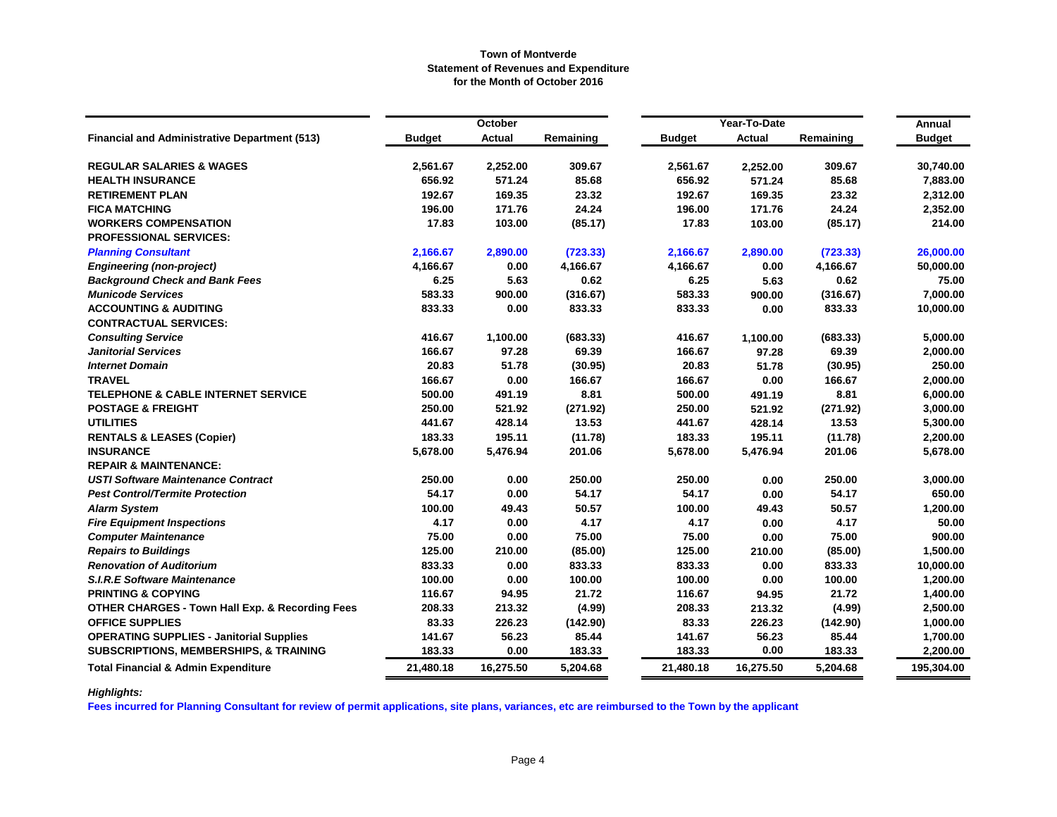|                                                            |               | <b>October</b> |           |               | Year-To-Date  |           | Annual        |
|------------------------------------------------------------|---------------|----------------|-----------|---------------|---------------|-----------|---------------|
| <b>Financial and Administrative Department (513)</b>       | <b>Budget</b> | Actual         | Remaining | <b>Budget</b> | <b>Actual</b> | Remaining | <b>Budget</b> |
| <b>REGULAR SALARIES &amp; WAGES</b>                        | 2,561.67      | 2,252.00       | 309.67    | 2,561.67      | 2,252.00      | 309.67    | 30,740.00     |
| <b>HEALTH INSURANCE</b>                                    | 656.92        | 571.24         | 85.68     | 656.92        | 571.24        | 85.68     | 7,883.00      |
| <b>RETIREMENT PLAN</b>                                     | 192.67        | 169.35         | 23.32     | 192.67        | 169.35        | 23.32     | 2,312.00      |
| <b>FICA MATCHING</b>                                       | 196.00        | 171.76         | 24.24     | 196.00        | 171.76        | 24.24     | 2,352.00      |
| <b>WORKERS COMPENSATION</b>                                | 17.83         | 103.00         | (85.17)   | 17.83         | 103.00        | (85.17)   | 214.00        |
| <b>PROFESSIONAL SERVICES:</b>                              |               |                |           |               |               |           |               |
| <b>Planning Consultant</b>                                 | 2,166.67      | 2,890.00       | (723.33)  | 2,166.67      | 2,890.00      | (723.33)  | 26,000.00     |
| <b>Engineering (non-project)</b>                           | 4,166.67      | 0.00           | 4,166.67  | 4,166.67      | 0.00          | 4,166.67  | 50,000.00     |
| <b>Background Check and Bank Fees</b>                      | 6.25          | 5.63           | 0.62      | 6.25          | 5.63          | 0.62      | 75.00         |
| <b>Municode Services</b>                                   | 583.33        | 900.00         | (316.67)  | 583.33        | 900.00        | (316.67)  | 7,000.00      |
| <b>ACCOUNTING &amp; AUDITING</b>                           | 833.33        | 0.00           | 833.33    | 833.33        | 0.00          | 833.33    | 10,000.00     |
| <b>CONTRACTUAL SERVICES:</b>                               |               |                |           |               |               |           |               |
| <b>Consulting Service</b>                                  | 416.67        | 1,100.00       | (683.33)  | 416.67        | 1,100.00      | (683.33)  | 5,000.00      |
| <b>Janitorial Services</b>                                 | 166.67        | 97.28          | 69.39     | 166.67        | 97.28         | 69.39     | 2,000.00      |
| <b>Internet Domain</b>                                     | 20.83         | 51.78          | (30.95)   | 20.83         | 51.78         | (30.95)   | 250.00        |
| <b>TRAVEL</b>                                              | 166.67        | 0.00           | 166.67    | 166.67        | 0.00          | 166.67    | 2,000.00      |
| <b>TELEPHONE &amp; CABLE INTERNET SERVICE</b>              | 500.00        | 491.19         | 8.81      | 500.00        | 491.19        | 8.81      | 6,000.00      |
| <b>POSTAGE &amp; FREIGHT</b>                               | 250.00        | 521.92         | (271.92)  | 250.00        | 521.92        | (271.92)  | 3,000.00      |
| <b>UTILITIES</b>                                           | 441.67        | 428.14         | 13.53     | 441.67        | 428.14        | 13.53     | 5,300.00      |
| <b>RENTALS &amp; LEASES (Copier)</b>                       | 183.33        | 195.11         | (11.78)   | 183.33        | 195.11        | (11.78)   | 2,200.00      |
| <b>INSURANCE</b>                                           | 5,678.00      | 5,476.94       | 201.06    | 5,678.00      | 5,476.94      | 201.06    | 5,678.00      |
| <b>REPAIR &amp; MAINTENANCE:</b>                           |               |                |           |               |               |           |               |
| <b>USTI Software Maintenance Contract</b>                  | 250.00        | 0.00           | 250.00    | 250.00        | 0.00          | 250.00    | 3,000.00      |
| <b>Pest Control/Termite Protection</b>                     | 54.17         | 0.00           | 54.17     | 54.17         | 0.00          | 54.17     | 650.00        |
| <b>Alarm System</b>                                        | 100.00        | 49.43          | 50.57     | 100.00        | 49.43         | 50.57     | 1,200.00      |
| <b>Fire Equipment Inspections</b>                          | 4.17          | 0.00           | 4.17      | 4.17          | 0.00          | 4.17      | 50.00         |
| <b>Computer Maintenance</b>                                | 75.00         | 0.00           | 75.00     | 75.00         | 0.00          | 75.00     | 900.00        |
| <b>Repairs to Buildings</b>                                | 125.00        | 210.00         | (85.00)   | 125.00        | 210.00        | (85.00)   | 1,500.00      |
| <b>Renovation of Auditorium</b>                            | 833.33        | 0.00           | 833.33    | 833.33        | 0.00          | 833.33    | 10,000.00     |
| <b>S.I.R.E Software Maintenance</b>                        | 100.00        | 0.00           | 100.00    | 100.00        | 0.00          | 100.00    | 1,200.00      |
| <b>PRINTING &amp; COPYING</b>                              | 116.67        | 94.95          | 21.72     | 116.67        | 94.95         | 21.72     | 1,400.00      |
| <b>OTHER CHARGES - Town Hall Exp. &amp; Recording Fees</b> | 208.33        | 213.32         | (4.99)    | 208.33        | 213.32        | (4.99)    | 2,500.00      |
| <b>OFFICE SUPPLIES</b>                                     | 83.33         | 226.23         | (142.90)  | 83.33         | 226.23        | (142.90)  | 1,000.00      |
| <b>OPERATING SUPPLIES - Janitorial Supplies</b>            | 141.67        | 56.23          | 85.44     | 141.67        | 56.23         | 85.44     | 1,700.00      |
| <b>SUBSCRIPTIONS, MEMBERSHIPS, &amp; TRAINING</b>          | 183.33        | 0.00           | 183.33    | 183.33        | 0.00          | 183.33    | 2,200.00      |
| <b>Total Financial &amp; Admin Expenditure</b>             | 21,480.18     | 16,275.50      | 5,204.68  | 21,480.18     | 16,275.50     | 5,204.68  | 195,304.00    |

*Highlights:*

**Fees incurred for Planning Consultant for review of permit applications, site plans, variances, etc are reimbursed to the Town by the applicant**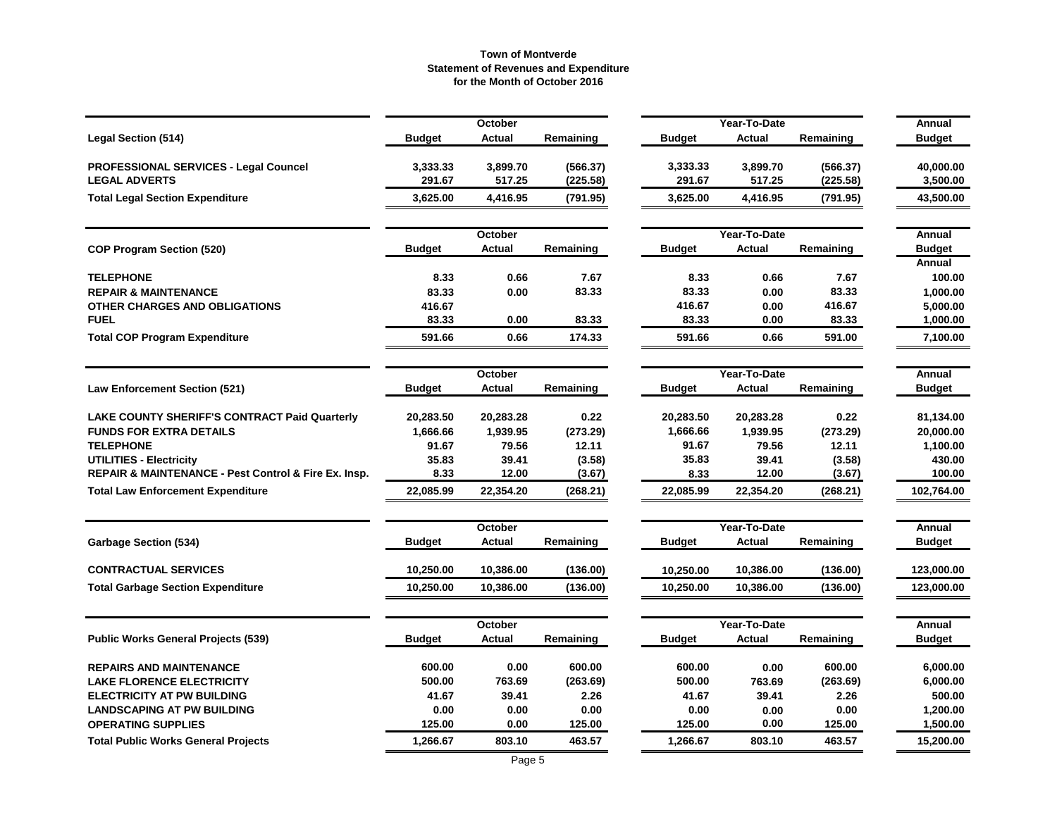|                                                      |               | October       |           |               | Year-To-Date  |           | Annual           |
|------------------------------------------------------|---------------|---------------|-----------|---------------|---------------|-----------|------------------|
| <b>Legal Section (514)</b>                           | <b>Budget</b> | <b>Actual</b> | Remaining | <b>Budget</b> | <b>Actual</b> | Remaining | <b>Budget</b>    |
| <b>PROFESSIONAL SERVICES - Legal Councel</b>         | 3,333.33      | 3,899.70      | (566.37)  | 3,333.33      | 3,899.70      | (566.37)  | 40,000.00        |
| <b>LEGAL ADVERTS</b>                                 | 291.67        | 517.25        | (225.58)  | 291.67        | 517.25        | (225.58)  | 3,500.00         |
| <b>Total Legal Section Expenditure</b>               | 3,625.00      | 4,416.95      | (791.95)  | 3,625.00      | 4,416.95      | (791.95)  | 43,500.00        |
|                                                      |               | October       |           |               | Year-To-Date  |           | Annual           |
| <b>COP Program Section (520)</b>                     | <b>Budget</b> | <b>Actual</b> | Remaining | <b>Budget</b> | <b>Actual</b> | Remaining | <b>Budget</b>    |
| <b>TELEPHONE</b>                                     | 8.33          | 0.66          | 7.67      | 8.33          | 0.66          | 7.67      | Annual<br>100.00 |
| <b>REPAIR &amp; MAINTENANCE</b>                      | 83.33         | 0.00          | 83.33     | 83.33         | 0.00          | 83.33     | 1,000.00         |
| OTHER CHARGES AND OBLIGATIONS                        | 416.67        |               |           | 416.67        | 0.00          | 416.67    | 5,000.00         |
| <b>FUEL</b>                                          | 83.33         | 0.00          | 83.33     | 83.33         | 0.00          | 83.33     | 1,000.00         |
| <b>Total COP Program Expenditure</b>                 | 591.66        | 0.66          | 174.33    | 591.66        | 0.66          | 591.00    | 7,100.00         |
|                                                      |               | October       |           |               | Year-To-Date  |           | Annual           |
| <b>Law Enforcement Section (521)</b>                 | <b>Budget</b> | <b>Actual</b> | Remaining | <b>Budget</b> | Actual        | Remaining | <b>Budget</b>    |
| <b>LAKE COUNTY SHERIFF'S CONTRACT Paid Quarterly</b> | 20,283.50     | 20,283.28     | 0.22      | 20,283.50     | 20,283.28     | 0.22      | 81,134.00        |
| <b>FUNDS FOR EXTRA DETAILS</b>                       | 1,666.66      | 1,939.95      | (273.29)  | 1,666.66      | 1,939.95      | (273.29)  | 20,000.00        |
| <b>TELEPHONE</b>                                     | 91.67         | 79.56         | 12.11     | 91.67         | 79.56         | 12.11     | 1,100.00         |
| <b>UTILITIES - Electricity</b>                       | 35.83         | 39.41         | (3.58)    | 35.83         | 39.41         | (3.58)    | 430.00           |
| REPAIR & MAINTENANCE - Pest Control & Fire Ex. Insp. | 8.33          | 12.00         | (3.67)    | 8.33          | 12.00         | (3.67)    | 100.00           |
| <b>Total Law Enforcement Expenditure</b>             | 22,085.99     | 22,354.20     | (268.21)  | 22,085.99     | 22,354.20     | (268.21)  | 102,764.00       |
|                                                      |               | October       |           |               | Year-To-Date  |           | Annual           |
| <b>Garbage Section (534)</b>                         | <b>Budget</b> | <b>Actual</b> | Remaining | <b>Budget</b> | <b>Actual</b> | Remaining | <b>Budget</b>    |
| <b>CONTRACTUAL SERVICES</b>                          | 10,250.00     | 10,386.00     | (136.00)  | 10,250.00     | 10,386.00     | (136.00)  | 123,000.00       |
| <b>Total Garbage Section Expenditure</b>             | 10,250.00     | 10,386.00     | (136.00)  | 10,250.00     | 10,386.00     | (136.00)  | 123,000.00       |
|                                                      |               | October       |           |               | Year-To-Date  |           | Annual           |
| <b>Public Works General Projects (539)</b>           | <b>Budget</b> | <b>Actual</b> | Remaining | <b>Budget</b> | Actual        | Remaining | <b>Budget</b>    |
| <b>REPAIRS AND MAINTENANCE</b>                       | 600.00        | 0.00          | 600.00    | 600.00        | 0.00          | 600.00    | 6,000.00         |
| <b>LAKE FLORENCE ELECTRICITY</b>                     | 500.00        | 763.69        | (263.69)  | 500.00        | 763.69        | (263.69)  | 6,000.00         |
| <b>ELECTRICITY AT PW BUILDING</b>                    | 41.67         | 39.41         | 2.26      | 41.67         | 39.41         | 2.26      | 500.00           |
| <b>LANDSCAPING AT PW BUILDING</b>                    | 0.00          | 0.00          | 0.00      | 0.00          | 0.00          | 0.00      | 1,200.00         |
| <b>OPERATING SUPPLIES</b>                            | 125.00        | 0.00          | 125.00    | 125.00        | 0.00          | 125.00    | 1,500.00         |
| <b>Total Public Works General Projects</b>           | 1,266.67      | 803.10        | 463.57    | 1,266.67      | 803.10        | 463.57    | 15,200.00        |
|                                                      |               |               |           |               |               |           |                  |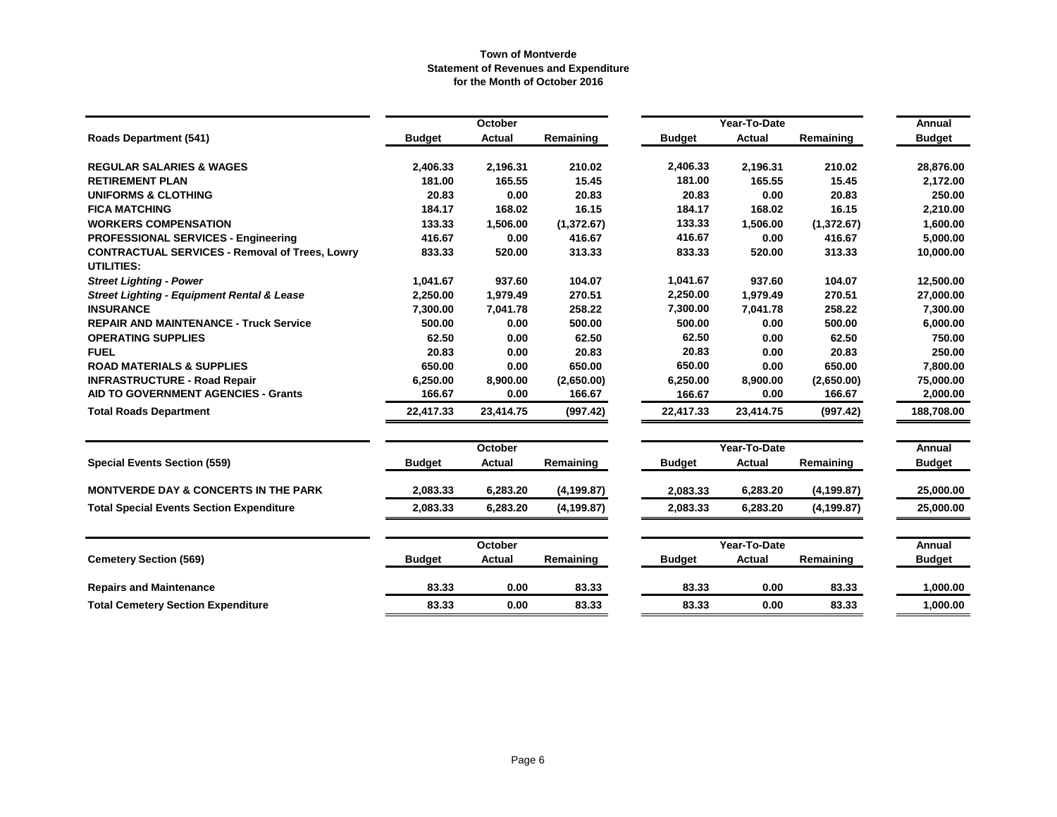|                                                                     |               | <b>October</b> |             |               | Year-To-Date |             |                         |  |
|---------------------------------------------------------------------|---------------|----------------|-------------|---------------|--------------|-------------|-------------------------|--|
| <b>Roads Department (541)</b>                                       | <b>Budget</b> | <b>Actual</b>  | Remaining   | <b>Budget</b> | Actual       | Remaining   | Annual<br><b>Budget</b> |  |
| <b>REGULAR SALARIES &amp; WAGES</b>                                 | 2,406.33      | 2,196.31       | 210.02      | 2,406.33      | 2,196.31     | 210.02      | 28,876.00               |  |
| <b>RETIREMENT PLAN</b>                                              | 181.00        | 165.55         | 15.45       | 181.00        | 165.55       | 15.45       | 2,172.00                |  |
| <b>UNIFORMS &amp; CLOTHING</b>                                      | 20.83         | 0.00           | 20.83       | 20.83         | 0.00         | 20.83       | 250.00                  |  |
| <b>FICA MATCHING</b>                                                | 184.17        | 168.02         | 16.15       | 184.17        | 168.02       | 16.15       | 2,210.00                |  |
| <b>WORKERS COMPENSATION</b>                                         | 133.33        | 1,506.00       | (1,372.67)  | 133.33        | 1,506.00     | (1,372.67)  | 1,600.00                |  |
| <b>PROFESSIONAL SERVICES - Engineering</b>                          | 416.67        | 0.00           | 416.67      | 416.67        | 0.00         | 416.67      | 5,000.00                |  |
| <b>CONTRACTUAL SERVICES - Removal of Trees, Lowry</b><br>UTILITIES: | 833.33        | 520.00         | 313.33      | 833.33        | 520.00       | 313.33      | 10,000.00               |  |
| <b>Street Lighting - Power</b>                                      | 1,041.67      | 937.60         | 104.07      | 1,041.67      | 937.60       | 104.07      | 12,500.00               |  |
| <b>Street Lighting - Equipment Rental &amp; Lease</b>               | 2,250.00      | 1,979.49       | 270.51      | 2,250.00      | 1,979.49     | 270.51      | 27,000.00               |  |
| <b>INSURANCE</b>                                                    | 7,300.00      | 7,041.78       | 258.22      | 7,300.00      | 7,041.78     | 258.22      | 7,300.00                |  |
| <b>REPAIR AND MAINTENANCE - Truck Service</b>                       | 500.00        | 0.00           | 500.00      | 500.00        | 0.00         | 500.00      | 6,000.00                |  |
| <b>OPERATING SUPPLIES</b>                                           | 62.50         | 0.00           | 62.50       | 62.50         | 0.00         | 62.50       | 750.00                  |  |
| <b>FUEL</b>                                                         | 20.83         | 0.00           | 20.83       | 20.83         | 0.00         | 20.83       | 250.00                  |  |
| <b>ROAD MATERIALS &amp; SUPPLIES</b>                                | 650.00        | 0.00           | 650.00      | 650.00        | 0.00         | 650.00      | 7,800.00                |  |
| <b>INFRASTRUCTURE - Road Repair</b>                                 | 6,250.00      | 8,900.00       | (2,650.00)  | 6,250.00      | 8,900.00     | (2,650.00)  | 75,000.00               |  |
| <b>AID TO GOVERNMENT AGENCIES - Grants</b>                          | 166.67        | 0.00           | 166.67      | 166.67        | 0.00         | 166.67      | 2,000.00                |  |
| <b>Total Roads Department</b>                                       | 22,417.33     | 23,414.75      | (997.42)    | 22,417.33     | 23,414.75    | (997.42)    | 188,708.00              |  |
|                                                                     |               | <b>October</b> |             |               | Year-To-Date |             | <b>Annual</b>           |  |
| <b>Special Events Section (559)</b>                                 | <b>Budget</b> | <b>Actual</b>  | Remaining   | <b>Budget</b> | Actual       | Remaining   | <b>Budget</b>           |  |
| <b>MONTVERDE DAY &amp; CONCERTS IN THE PARK</b>                     | 2,083.33      | 6,283.20       | (4, 199.87) | 2,083.33      | 6,283.20     | (4, 199.87) | 25,000.00               |  |
| <b>Total Special Events Section Expenditure</b>                     | 2,083.33      | 6,283.20       | (4, 199.87) | 2,083.33      | 6,283.20     | (4, 199.87) | 25,000.00               |  |
|                                                                     |               | October        |             |               | Year-To-Date |             | <b>Annual</b>           |  |
| <b>Cemetery Section (569)</b>                                       | <b>Budget</b> | <b>Actual</b>  | Remaining   | <b>Budget</b> | Actual       | Remaining   | <b>Budget</b>           |  |
| <b>Repairs and Maintenance</b>                                      | 83.33         | 0.00           | 83.33       | 83.33         | 0.00         | 83.33       | 1,000.00                |  |
| <b>Total Cemetery Section Expenditure</b>                           | 83.33         | 0.00           | 83.33       | 83.33         | 0.00         | 83.33       | 1,000.00                |  |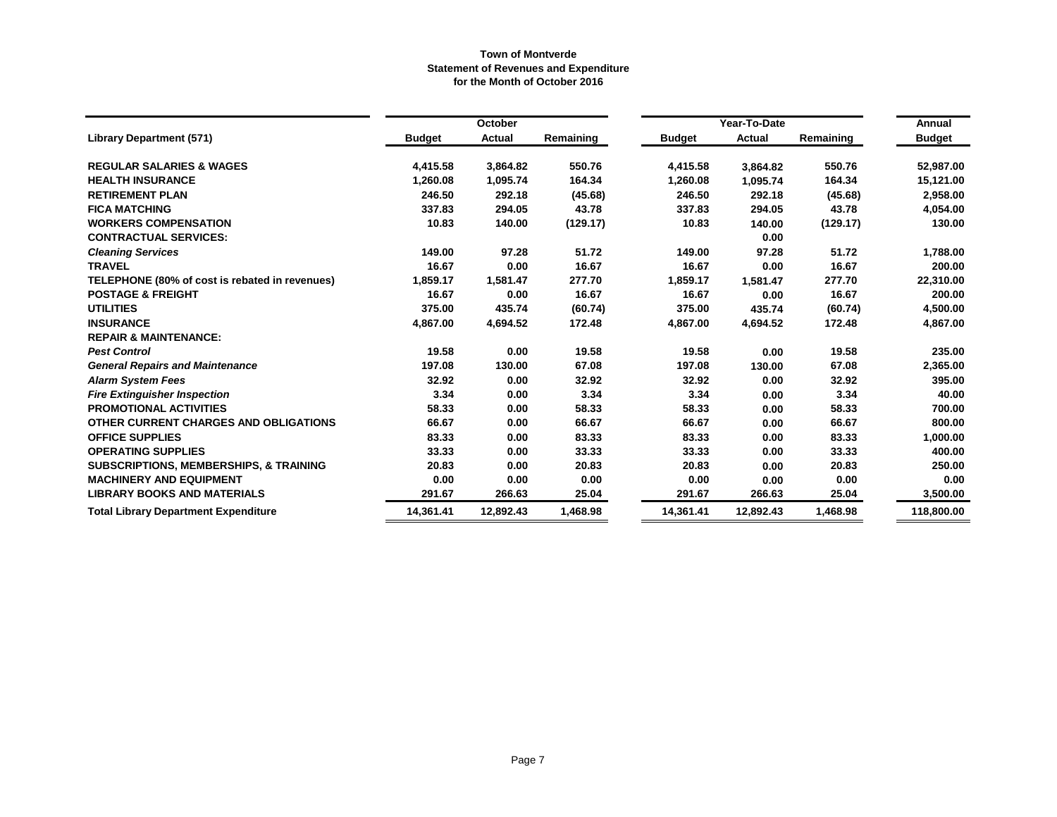|                                                   |               | October       |           |               | Year-To-Date  |           |                         |  |
|---------------------------------------------------|---------------|---------------|-----------|---------------|---------------|-----------|-------------------------|--|
| <b>Library Department (571)</b>                   | <b>Budget</b> | <b>Actual</b> | Remaining | <b>Budget</b> | <b>Actual</b> | Remaining | Annual<br><b>Budget</b> |  |
| <b>REGULAR SALARIES &amp; WAGES</b>               | 4,415.58      | 3,864.82      | 550.76    | 4,415.58      | 3,864.82      | 550.76    | 52,987.00               |  |
| <b>HEALTH INSURANCE</b>                           | 1,260.08      | 1,095.74      | 164.34    | 1,260.08      | 1,095.74      | 164.34    | 15,121.00               |  |
| <b>RETIREMENT PLAN</b>                            | 246.50        | 292.18        | (45.68)   | 246.50        | 292.18        | (45.68)   | 2,958.00                |  |
| <b>FICA MATCHING</b>                              | 337.83        | 294.05        | 43.78     | 337.83        | 294.05        | 43.78     | 4,054.00                |  |
| <b>WORKERS COMPENSATION</b>                       | 10.83         | 140.00        | (129.17)  | 10.83         | 140.00        | (129.17)  | 130.00                  |  |
| <b>CONTRACTUAL SERVICES:</b>                      |               |               |           |               | 0.00          |           |                         |  |
| <b>Cleaning Services</b>                          | 149.00        | 97.28         | 51.72     | 149.00        | 97.28         | 51.72     | 1,788.00                |  |
| <b>TRAVEL</b>                                     | 16.67         | 0.00          | 16.67     | 16.67         | 0.00          | 16.67     | 200.00                  |  |
| TELEPHONE (80% of cost is rebated in revenues)    | 1,859.17      | 1,581.47      | 277.70    | 1,859.17      | 1,581.47      | 277.70    | 22,310.00               |  |
| <b>POSTAGE &amp; FREIGHT</b>                      | 16.67         | 0.00          | 16.67     | 16.67         | 0.00          | 16.67     | 200.00                  |  |
| <b>UTILITIES</b>                                  | 375.00        | 435.74        | (60.74)   | 375.00        | 435.74        | (60.74)   | 4,500.00                |  |
| <b>INSURANCE</b>                                  | 4,867.00      | 4,694.52      | 172.48    | 4,867.00      | 4,694.52      | 172.48    | 4,867.00                |  |
| <b>REPAIR &amp; MAINTENANCE:</b>                  |               |               |           |               |               |           |                         |  |
| <b>Pest Control</b>                               | 19.58         | 0.00          | 19.58     | 19.58         | 0.00          | 19.58     | 235.00                  |  |
| <b>General Repairs and Maintenance</b>            | 197.08        | 130.00        | 67.08     | 197.08        | 130.00        | 67.08     | 2,365.00                |  |
| <b>Alarm System Fees</b>                          | 32.92         | 0.00          | 32.92     | 32.92         | 0.00          | 32.92     | 395.00                  |  |
| <b>Fire Extinguisher Inspection</b>               | 3.34          | 0.00          | 3.34      | 3.34          | 0.00          | 3.34      | 40.00                   |  |
| <b>PROMOTIONAL ACTIVITIES</b>                     | 58.33         | 0.00          | 58.33     | 58.33         | 0.00          | 58.33     | 700.00                  |  |
| OTHER CURRENT CHARGES AND OBLIGATIONS             | 66.67         | 0.00          | 66.67     | 66.67         | 0.00          | 66.67     | 800.00                  |  |
| <b>OFFICE SUPPLIES</b>                            | 83.33         | 0.00          | 83.33     | 83.33         | 0.00          | 83.33     | 1,000.00                |  |
| <b>OPERATING SUPPLIES</b>                         | 33.33         | 0.00          | 33.33     | 33.33         | 0.00          | 33.33     | 400.00                  |  |
| <b>SUBSCRIPTIONS, MEMBERSHIPS, &amp; TRAINING</b> | 20.83         | 0.00          | 20.83     | 20.83         | 0.00          | 20.83     | 250.00                  |  |
| <b>MACHINERY AND EQUIPMENT</b>                    | 0.00          | 0.00          | 0.00      | 0.00          | 0.00          | 0.00      | 0.00                    |  |
| <b>LIBRARY BOOKS AND MATERIALS</b>                | 291.67        | 266.63        | 25.04     | 291.67        | 266.63        | 25.04     | 3,500.00                |  |
| <b>Total Library Department Expenditure</b>       | 14,361.41     | 12,892.43     | 1,468.98  | 14,361.41     | 12,892.43     | 1,468.98  | 118,800.00              |  |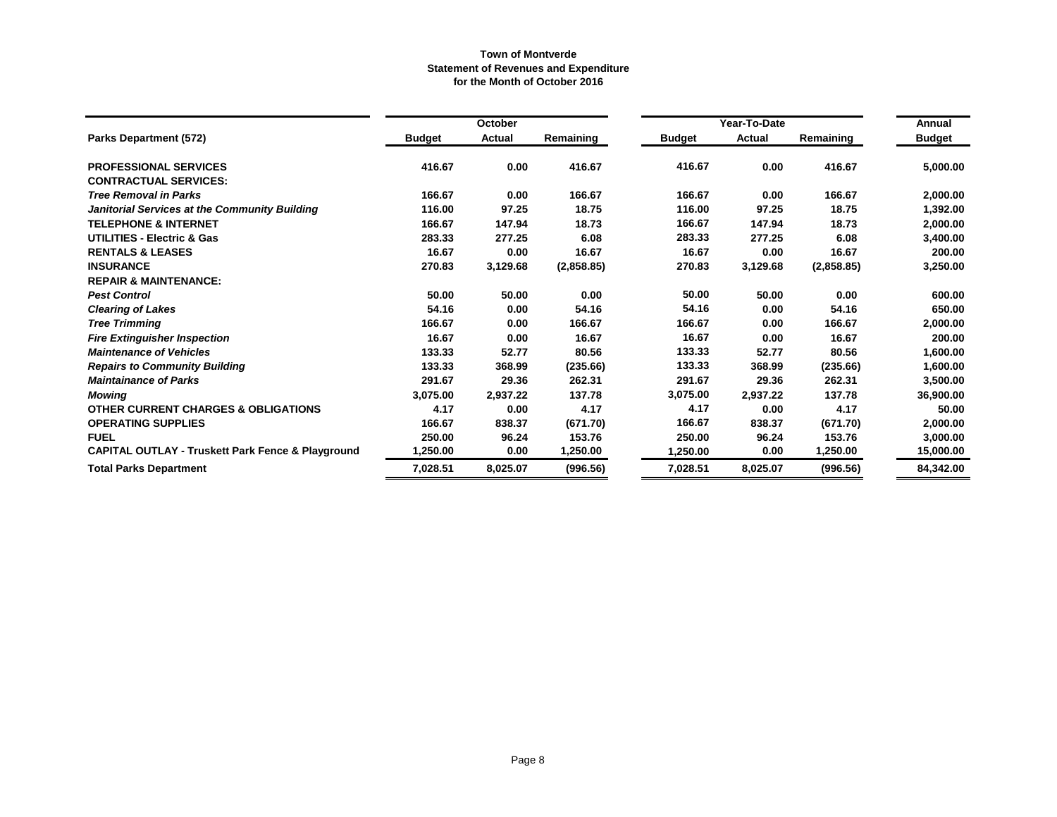|                                                              |               | October       |            |               | Year-To-Date |            |               |  |
|--------------------------------------------------------------|---------------|---------------|------------|---------------|--------------|------------|---------------|--|
| Parks Department (572)                                       | <b>Budget</b> | <b>Actual</b> | Remaining  | <b>Budget</b> | Actual       | Remaining  | <b>Budget</b> |  |
| <b>PROFESSIONAL SERVICES</b>                                 | 416.67        | 0.00          | 416.67     | 416.67        | 0.00         | 416.67     | 5,000.00      |  |
| <b>CONTRACTUAL SERVICES:</b>                                 |               |               |            |               |              |            |               |  |
| <b>Tree Removal in Parks</b>                                 | 166.67        | 0.00          | 166.67     | 166.67        | 0.00         | 166.67     | 2,000.00      |  |
| Janitorial Services at the Community Building                | 116.00        | 97.25         | 18.75      | 116.00        | 97.25        | 18.75      | 1,392.00      |  |
| <b>TELEPHONE &amp; INTERNET</b>                              | 166.67        | 147.94        | 18.73      | 166.67        | 147.94       | 18.73      | 2,000.00      |  |
| <b>UTILITIES - Electric &amp; Gas</b>                        | 283.33        | 277.25        | 6.08       | 283.33        | 277.25       | 6.08       | 3,400.00      |  |
| <b>RENTALS &amp; LEASES</b>                                  | 16.67         | 0.00          | 16.67      | 16.67         | 0.00         | 16.67      | 200.00        |  |
| <b>INSURANCE</b>                                             | 270.83        | 3,129.68      | (2,858.85) | 270.83        | 3,129.68     | (2,858.85) | 3,250.00      |  |
| <b>REPAIR &amp; MAINTENANCE:</b>                             |               |               |            |               |              |            |               |  |
| <b>Pest Control</b>                                          | 50.00         | 50.00         | 0.00       | 50.00         | 50.00        | 0.00       | 600.00        |  |
| <b>Clearing of Lakes</b>                                     | 54.16         | 0.00          | 54.16      | 54.16         | 0.00         | 54.16      | 650.00        |  |
| <b>Tree Trimming</b>                                         | 166.67        | 0.00          | 166.67     | 166.67        | 0.00         | 166.67     | 2,000.00      |  |
| <b>Fire Extinguisher Inspection</b>                          | 16.67         | 0.00          | 16.67      | 16.67         | 0.00         | 16.67      | 200.00        |  |
| <b>Maintenance of Vehicles</b>                               | 133.33        | 52.77         | 80.56      | 133.33        | 52.77        | 80.56      | 1,600.00      |  |
| <b>Repairs to Community Building</b>                         | 133.33        | 368.99        | (235.66)   | 133.33        | 368.99       | (235.66)   | 1,600.00      |  |
| <b>Maintainance of Parks</b>                                 | 291.67        | 29.36         | 262.31     | 291.67        | 29.36        | 262.31     | 3,500.00      |  |
| <b>Mowing</b>                                                | 3,075.00      | 2,937.22      | 137.78     | 3,075.00      | 2,937.22     | 137.78     | 36,900.00     |  |
| <b>OTHER CURRENT CHARGES &amp; OBLIGATIONS</b>               | 4.17          | 0.00          | 4.17       | 4.17          | 0.00         | 4.17       | 50.00         |  |
| <b>OPERATING SUPPLIES</b>                                    | 166.67        | 838.37        | (671.70)   | 166.67        | 838.37       | (671.70)   | 2,000.00      |  |
| <b>FUEL</b>                                                  | 250.00        | 96.24         | 153.76     | 250.00        | 96.24        | 153.76     | 3,000.00      |  |
| <b>CAPITAL OUTLAY - Truskett Park Fence &amp; Playground</b> | 1,250.00      | 0.00          | 1,250.00   | 1,250.00      | 0.00         | 1,250.00   | 15,000.00     |  |
| <b>Total Parks Department</b>                                | 7,028.51      | 8,025.07      | (996.56)   | 7,028.51      | 8,025.07     | (996.56)   | 84,342.00     |  |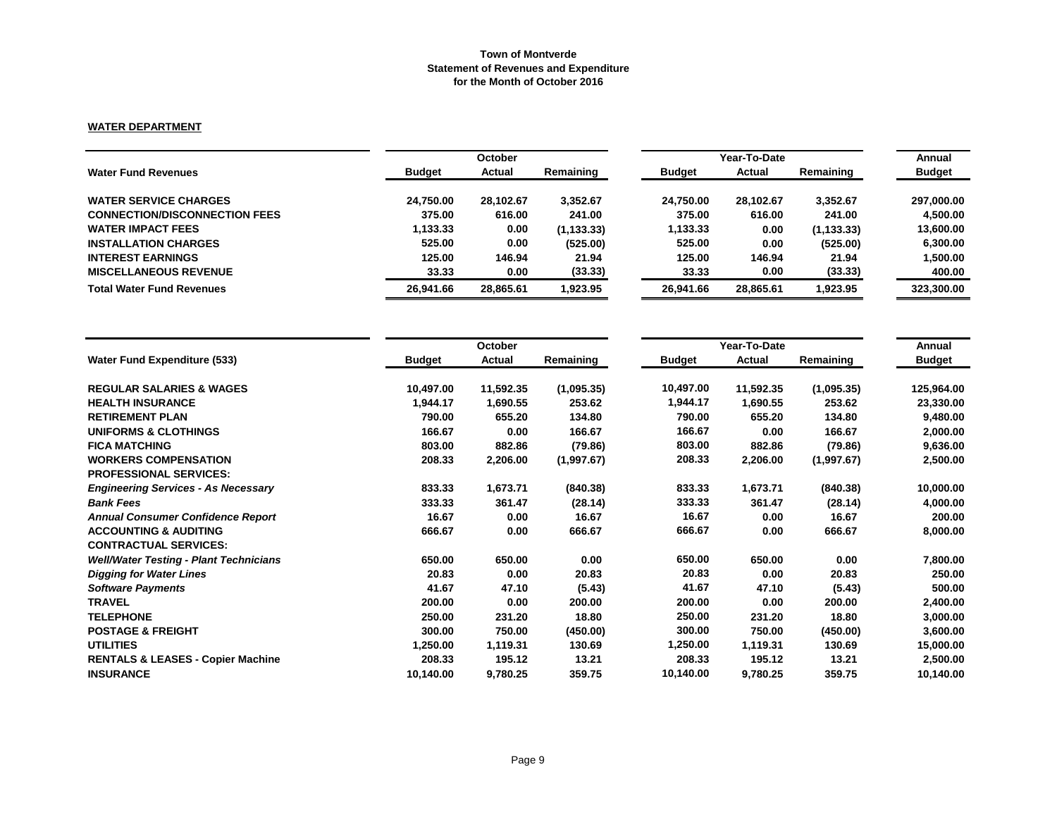# **WATER DEPARTMENT**

|                                      | October       |               |             | Year-To-Date  | Annual        |             |               |
|--------------------------------------|---------------|---------------|-------------|---------------|---------------|-------------|---------------|
| <b>Water Fund Revenues</b>           | <b>Budget</b> | <b>Actual</b> | Remaining   | <b>Budget</b> | <b>Actual</b> | Remaining   | <b>Budget</b> |
| <b>WATER SERVICE CHARGES</b>         | 24.750.00     | 28,102.67     | 3,352.67    | 24,750.00     | 28.102.67     | 3,352.67    | 297,000.00    |
| <b>CONNECTION/DISCONNECTION FEES</b> | 375.00        | 616.00        | 241.00      | 375.00        | 616.00        | 241.00      | 4.500.00      |
| <b>WATER IMPACT FEES</b>             | 1,133.33      | 0.00          | (1, 133.33) | 1,133.33      | 0.00          | (1, 133.33) | 13,600.00     |
| <b>INSTALLATION CHARGES</b>          | 525.00        | 0.00          | (525.00)    | 525.00        | 0.00          | (525.00)    | 6,300.00      |
| <b>INTEREST EARNINGS</b>             | 125.00        | 146.94        | 21.94       | 125.00        | 146.94        | 21.94       | 1,500.00      |
| <b>MISCELLANEOUS REVENUE</b>         | 33.33         | 0.00          | (33.33)     | 33.33         | 0.00          | (33.33)     | 400.00        |
| <b>Total Water Fund Revenues</b>     | 26,941.66     | 28,865.61     | 923.95. ا   | 26.941.66     | 28,865.61     | 1,923.95    | 323,300.00    |

|                                               |               | October       |            | Year-To-Date  | Annual        |            |               |
|-----------------------------------------------|---------------|---------------|------------|---------------|---------------|------------|---------------|
| <b>Water Fund Expenditure (533)</b>           | <b>Budget</b> | <b>Actual</b> | Remaining  | <b>Budget</b> | <b>Actual</b> | Remaining  | <b>Budget</b> |
| <b>REGULAR SALARIES &amp; WAGES</b>           | 10,497.00     | 11,592.35     | (1,095.35) | 10,497.00     | 11,592.35     | (1,095.35) | 125,964.00    |
| <b>HEALTH INSURANCE</b>                       | 1,944.17      | 1,690.55      | 253.62     | 1,944.17      | 1,690.55      | 253.62     | 23,330.00     |
| <b>RETIREMENT PLAN</b>                        | 790.00        | 655.20        | 134.80     | 790.00        | 655.20        | 134.80     | 9,480.00      |
| <b>UNIFORMS &amp; CLOTHINGS</b>               | 166.67        | 0.00          | 166.67     | 166.67        | 0.00          | 166.67     | 2,000.00      |
| <b>FICA MATCHING</b>                          | 803.00        | 882.86        | (79.86)    | 803.00        | 882.86        | (79.86)    | 9,636.00      |
| <b>WORKERS COMPENSATION</b>                   | 208.33        | 2,206.00      | (1,997.67) | 208.33        | 2,206.00      | (1,997.67) | 2,500.00      |
| <b>PROFESSIONAL SERVICES:</b>                 |               |               |            |               |               |            |               |
| <b>Engineering Services - As Necessary</b>    | 833.33        | 1,673.71      | (840.38)   | 833.33        | 1,673.71      | (840.38)   | 10,000.00     |
| <b>Bank Fees</b>                              | 333.33        | 361.47        | (28.14)    | 333.33        | 361.47        | (28.14)    | 4,000.00      |
| <b>Annual Consumer Confidence Report</b>      | 16.67         | 0.00          | 16.67      | 16.67         | 0.00          | 16.67      | 200.00        |
| <b>ACCOUNTING &amp; AUDITING</b>              | 666.67        | 0.00          | 666.67     | 666.67        | 0.00          | 666.67     | 8,000.00      |
| <b>CONTRACTUAL SERVICES:</b>                  |               |               |            |               |               |            |               |
| <b>Well/Water Testing - Plant Technicians</b> | 650.00        | 650.00        | 0.00       | 650.00        | 650.00        | 0.00       | 7,800.00      |
| <b>Digging for Water Lines</b>                | 20.83         | 0.00          | 20.83      | 20.83         | 0.00          | 20.83      | 250.00        |
| <b>Software Payments</b>                      | 41.67         | 47.10         | (5.43)     | 41.67         | 47.10         | (5.43)     | 500.00        |
| <b>TRAVEL</b>                                 | 200.00        | 0.00          | 200.00     | 200.00        | 0.00          | 200.00     | 2,400.00      |
| <b>TELEPHONE</b>                              | 250.00        | 231.20        | 18.80      | 250.00        | 231.20        | 18.80      | 3,000.00      |
| <b>POSTAGE &amp; FREIGHT</b>                  | 300.00        | 750.00        | (450.00)   | 300.00        | 750.00        | (450.00)   | 3,600.00      |
| <b>UTILITIES</b>                              | 1,250.00      | 1,119.31      | 130.69     | 1,250.00      | 1,119.31      | 130.69     | 15,000.00     |
| <b>RENTALS &amp; LEASES - Copier Machine</b>  | 208.33        | 195.12        | 13.21      | 208.33        | 195.12        | 13.21      | 2,500.00      |
| <b>INSURANCE</b>                              | 10,140.00     | 9,780.25      | 359.75     | 10,140.00     | 9,780.25      | 359.75     | 10,140.00     |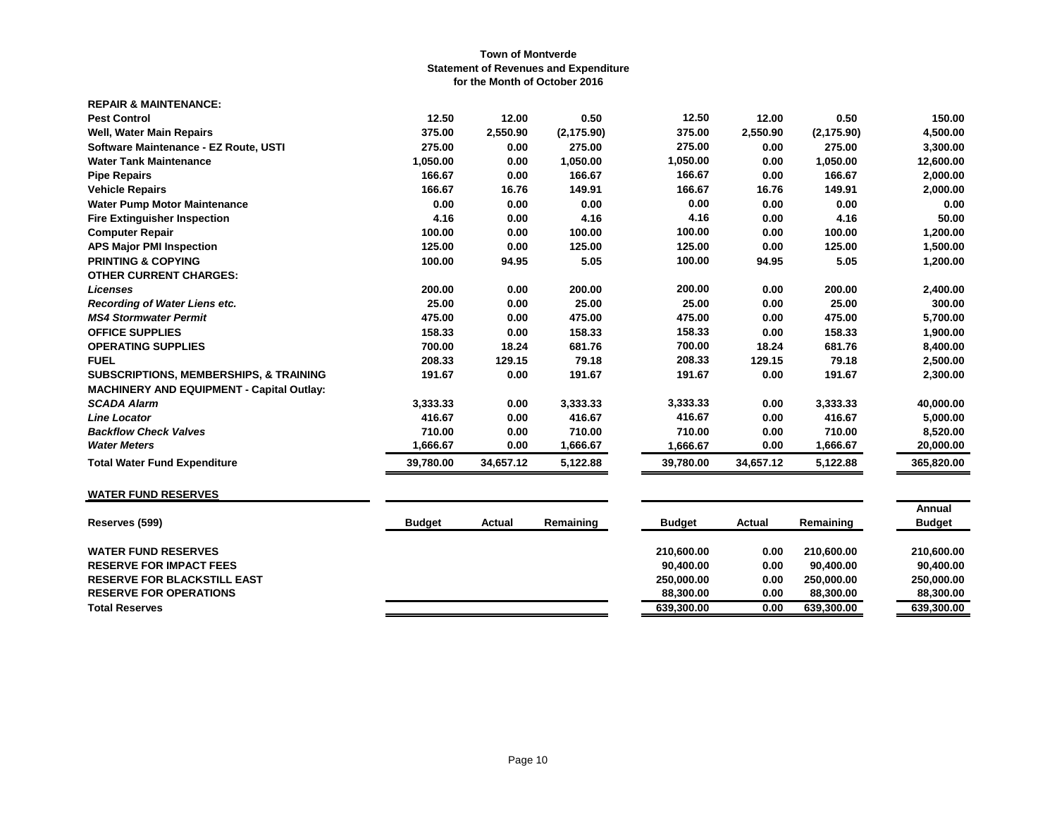| <b>REPAIR &amp; MAINTENANCE:</b>                  |           |           |             |           |           |             |                  |
|---------------------------------------------------|-----------|-----------|-------------|-----------|-----------|-------------|------------------|
| <b>Pest Control</b>                               | 12.50     | 12.00     | 0.50        | 12.50     | 12.00     | 0.50        | 150.00           |
| <b>Well, Water Main Repairs</b>                   | 375.00    | 2,550.90  | (2, 175.90) | 375.00    | 2,550.90  | (2, 175.90) | 4,500.00         |
| Software Maintenance - EZ Route, USTI             | 275.00    | 0.00      | 275.00      | 275.00    | 0.00      | 275.00      | 3,300.00         |
| <b>Water Tank Maintenance</b>                     | 1,050.00  | 0.00      | 1,050.00    | 1,050.00  | 0.00      | 1,050.00    | 12,600.00        |
| <b>Pipe Repairs</b>                               | 166.67    | 0.00      | 166.67      | 166.67    | 0.00      | 166.67      | 2,000.00         |
| <b>Vehicle Repairs</b>                            | 166.67    | 16.76     | 149.91      | 166.67    | 16.76     | 149.91      | 2,000.00         |
| <b>Water Pump Motor Maintenance</b>               | 0.00      | 0.00      | 0.00        | 0.00      | 0.00      | 0.00        | 0.00             |
| <b>Fire Extinguisher Inspection</b>               | 4.16      | 0.00      | 4.16        | 4.16      | 0.00      | 4.16        | 50.00            |
| <b>Computer Repair</b>                            | 100.00    | 0.00      | 100.00      | 100.00    | 0.00      | 100.00      | 1,200.00         |
| <b>APS Major PMI Inspection</b>                   | 125.00    | 0.00      | 125.00      | 125.00    | 0.00      | 125.00      | 1,500.00         |
| <b>PRINTING &amp; COPYING</b>                     | 100.00    | 94.95     | 5.05        | 100.00    | 94.95     | 5.05        | 1,200.00         |
| <b>OTHER CURRENT CHARGES:</b>                     |           |           |             |           |           |             |                  |
| <b>Licenses</b>                                   | 200.00    | 0.00      | 200.00      | 200.00    | 0.00      | 200.00      | 2,400.00         |
| <b>Recording of Water Liens etc.</b>              | 25.00     | 0.00      | 25.00       | 25.00     | 0.00      | 25.00       | 300.00           |
| <b>MS4 Stormwater Permit</b>                      | 475.00    | 0.00      | 475.00      | 475.00    | 0.00      | 475.00      | 5,700.00         |
| <b>OFFICE SUPPLIES</b>                            | 158.33    | 0.00      | 158.33      | 158.33    | 0.00      | 158.33      | 1,900.00         |
| <b>OPERATING SUPPLIES</b>                         | 700.00    | 18.24     | 681.76      | 700.00    | 18.24     | 681.76      | 8,400.00         |
| <b>FUEL</b>                                       | 208.33    | 129.15    | 79.18       | 208.33    | 129.15    | 79.18       | 2,500.00         |
| <b>SUBSCRIPTIONS, MEMBERSHIPS, &amp; TRAINING</b> | 191.67    | 0.00      | 191.67      | 191.67    | 0.00      | 191.67      | 2,300.00         |
| <b>MACHINERY AND EQUIPMENT - Capital Outlay:</b>  |           |           |             |           |           |             |                  |
| <b>SCADA Alarm</b>                                | 3,333.33  | 0.00      | 3,333.33    | 3,333.33  | 0.00      | 3,333.33    | 40,000.00        |
| <b>Line Locator</b>                               | 416.67    | 0.00      | 416.67      | 416.67    | 0.00      | 416.67      | 5,000.00         |
| <b>Backflow Check Valves</b>                      | 710.00    | 0.00      | 710.00      | 710.00    | 0.00      | 710.00      | 8,520.00         |
| <b>Water Meters</b>                               | 1.666.67  | 0.00      | 1,666.67    | 1,666.67  | 0.00      | 1,666.67    | 20,000.00        |
| <b>Total Water Fund Expenditure</b>               | 39,780.00 | 34,657.12 | 5,122.88    | 39,780.00 | 34,657.12 | 5,122.88    | 365,820.00<br>== |

# **WATER FUND RESERVES**

|                                                                        | <b>Budget</b> |
|------------------------------------------------------------------------|---------------|
| <b>WATER FUND RESERVES</b><br>210.600.00<br>0.00<br>210.600.00         | 210.600.00    |
| 0.00<br><b>RESERVE FOR IMPACT FEES</b><br>90.400.00<br>90.400.00       | 90.400.00     |
| 0.00<br>250,000,00<br>250.000.00<br><b>RESERVE FOR BLACKSTILL EAST</b> | 250.000.00    |
| 0.00<br>88.300.00<br><b>RESERVE FOR OPERATIONS</b><br>88.300.00        | 88,300,00     |
| 639,300.00<br>0.00<br>639,300.00<br><b>Total Reserves</b>              | 639,300.00    |